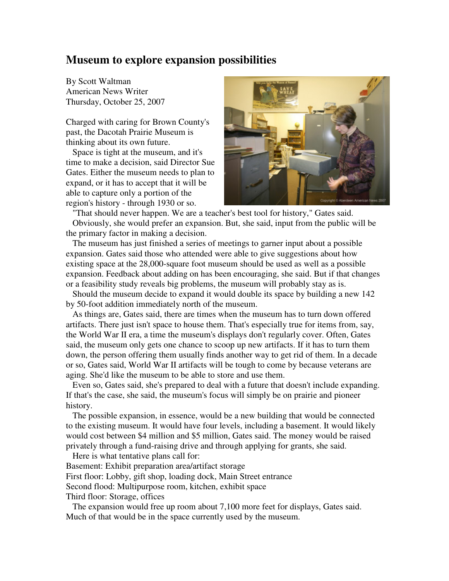## **Museum to explore expansion possibilities**

By Scott Waltman American News Writer Thursday, October 25, 2007

Charged with caring for Brown County's past, the Dacotah Prairie Museum is thinking about its own future.

Space is tight at the museum, and it's time to make a decision, said Director Sue Gates. Either the museum needs to plan to expand, or it has to accept that it will be able to capture only a portion of the region's history - through 1930 or so.



"That should never happen. We are a teacher's best tool for history," Gates said. Obviously, she would prefer an expansion. But, she said, input from the public will be the primary factor in making a decision.

The museum has just finished a series of meetings to garner input about a possible expansion. Gates said those who attended were able to give suggestions about how existing space at the 28,000-square foot museum should be used as well as a possible expansion. Feedback about adding on has been encouraging, she said. But if that changes or a feasibility study reveals big problems, the museum will probably stay as is.

Should the museum decide to expand it would double its space by building a new 142 by 50-foot addition immediately north of the museum.

As things are, Gates said, there are times when the museum has to turn down offered artifacts. There just isn't space to house them. That's especially true for items from, say, the World War II era, a time the museum's displays don't regularly cover. Often, Gates said, the museum only gets one chance to scoop up new artifacts. If it has to turn them down, the person offering them usually finds another way to get rid of them. In a decade or so, Gates said, World War II artifacts will be tough to come by because veterans are aging. She'd like the museum to be able to store and use them.

Even so, Gates said, she's prepared to deal with a future that doesn't include expanding. If that's the case, she said, the museum's focus will simply be on prairie and pioneer history.

The possible expansion, in essence, would be a new building that would be connected to the existing museum. It would have four levels, including a basement. It would likely would cost between \$4 million and \$5 million, Gates said. The money would be raised privately through a fund-raising drive and through applying for grants, she said.

Here is what tentative plans call for: Basement: Exhibit preparation area/artifact storage First floor: Lobby, gift shop, loading dock, Main Street entrance Second flood: Multipurpose room, kitchen, exhibit space Third floor: Storage, offices

The expansion would free up room about 7,100 more feet for displays, Gates said. Much of that would be in the space currently used by the museum.